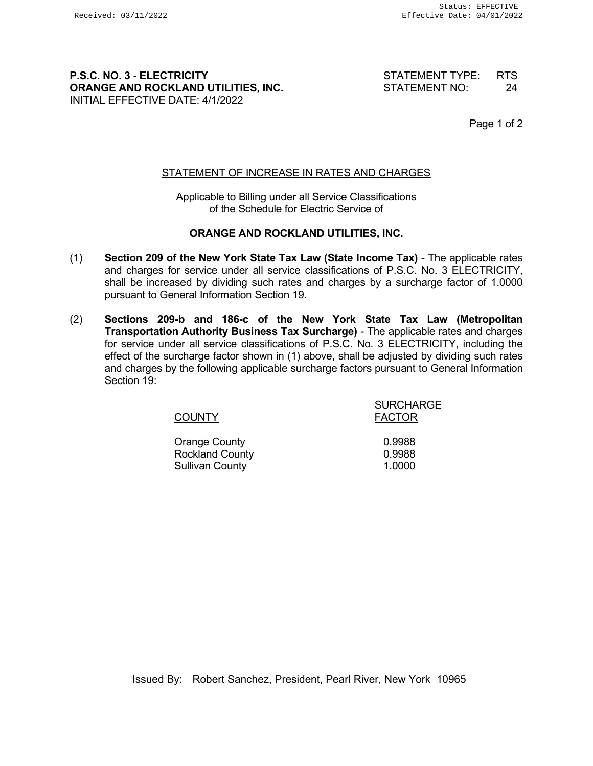# **P.S.C. NO. 3 - ELECTRICITY** STATEMENT TYPE: RTS **ORANGE AND ROCKLAND UTILITIES, INC.** STATEMENT NO: 24 INITIAL EFFECTIVE DATE: 4/1/2022

Page 1 of 2

# STATEMENT OF INCREASE IN RATES AND CHARGES

Applicable to Billing under all Service Classifications of the Schedule for Electric Service of

# **ORANGE AND ROCKLAND UTILITIES, INC.**

- (1) **Section 209 of the New York State Tax Law (State Income Tax)** The applicable rates and charges for service under all service classifications of P.S.C. No. 3 ELECTRICITY, shall be increased by dividing such rates and charges by a surcharge factor of 1.0000 pursuant to General Information Section 19.
- (2) **Sections 209-b and 186-c of the New York State Tax Law (Metropolitan Transportation Authority Business Tax Surcharge)** - The applicable rates and charges for service under all service classifications of P.S.C. No. 3 ELECTRICITY, including the effect of the surcharge factor shown in (1) above, shall be adjusted by dividing such rates and charges by the following applicable surcharge factors pursuant to General Information Section 19:

| <b>COUNTY</b>          | <b>SURCHARGE</b><br><b>FACTOR</b> |
|------------------------|-----------------------------------|
| <b>Orange County</b>   | 0.9988                            |
| <b>Rockland County</b> | 0.9988                            |
| <b>Sullivan County</b> | 1.0000                            |